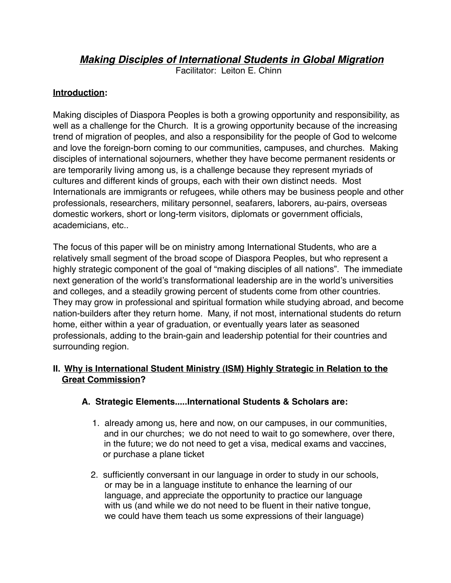# *Making Disciples of International Students in Global Migration*

Facilitator: Leiton E. Chinn

## **Introduction:**

Making disciples of Diaspora Peoples is both a growing opportunity and responsibility, as well as a challenge for the Church. It is a growing opportunity because of the increasing trend of migration of peoples, and also a responsibility for the people of God to welcome and love the foreign-born coming to our communities, campuses, and churches. Making disciples of international sojourners, whether they have become permanent residents or are temporarily living among us, is a challenge because they represent myriads of cultures and different kinds of groups, each with their own distinct needs. Most Internationals are immigrants or refugees, while others may be business people and other professionals, researchers, military personnel, seafarers, laborers, au-pairs, overseas domestic workers, short or long-term visitors, diplomats or government officials, academicians, etc..

The focus of this paper will be on ministry among International Students, who are a relatively small segment of the broad scope of Diaspora Peoples, but who represent a highly strategic component of the goal of "making disciples of all nations". The immediate next generation of the world's transformational leadership are in the world's universities and colleges, and a steadily growing percent of students come from other countries. They may grow in professional and spiritual formation while studying abroad, and become nation-builders after they return home. Many, if not most, international students do return home, either within a year of graduation, or eventually years later as seasoned professionals, adding to the brain-gain and leadership potential for their countries and surrounding region.

# **II. Why is International Student Ministry (ISM) Highly Strategic in Relation to the Great Commission?**

### **A. Strategic Elements.....International Students & Scholars are:**

- 1. already among us, here and now, on our campuses, in our communities, and in our churches; we do not need to wait to go somewhere, over there, in the future; we do not need to get a visa, medical exams and vaccines, or purchase a plane ticket
- 2. sufficiently conversant in our language in order to study in our schools, or may be in a language institute to enhance the learning of our language, and appreciate the opportunity to practice our language with us (and while we do not need to be fluent in their native tongue, we could have them teach us some expressions of their language)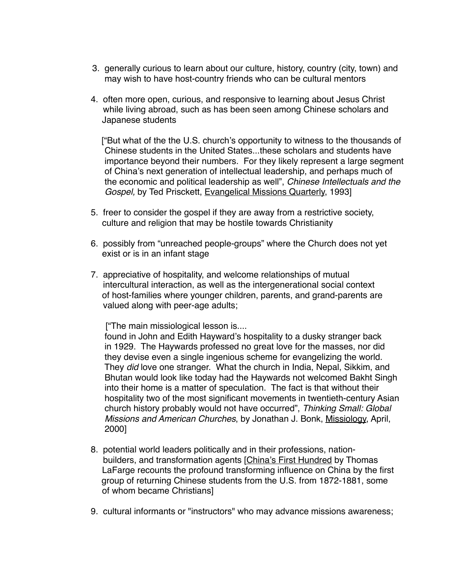- 3. generally curious to learn about our culture, history, country (city, town) and may wish to have host-country friends who can be cultural mentors
- 4. often more open, curious, and responsive to learning about Jesus Christ while living abroad, such as has been seen among Chinese scholars and Japanese students

 ["But what of the the U.S. church's opportunity to witness to the thousands of Chinese students in the United States...these scholars and students have importance beyond their numbers. For they likely represent a large segment of China's next generation of intellectual leadership, and perhaps much of the economic and political leadership as well", *Chinese Intellectuals and the Gospel,* by Ted Prisckett, Evangelical Missions Quarterly, 1993]

- 5. freer to consider the gospel if they are away from a restrictive society, culture and religion that may be hostile towards Christianity
- 6. possibly from "unreached people-groups" where the Church does not yet exist or is in an infant stage
- 7. appreciative of hospitality, and welcome relationships of mutual intercultural interaction, as well as the intergenerational social context of host-families where younger children, parents, and grand-parents are valued along with peer-age adults;

["The main missiological lesson is....

 found in John and Edith Hayward's hospitality to a dusky stranger back in 1929. The Haywards professed no great love for the masses, nor did they devise even a single ingenious scheme for evangelizing the world. They *did* love one stranger. What the church in India, Nepal, Sikkim, and Bhutan would look like today had the Haywards not welcomed Bakht Singh into their home is a matter of speculation. The fact is that without their hospitality two of the most significant movements in twentieth-century Asian church history probably would not have occurred", *Thinking Small: Global Missions and American Churches*, by Jonathan J. Bonk, Missiology, April, 2000]

- 8. potential world leaders politically and in their professions, nation builders, and transformation agents [China's First Hundred by Thomas LaFarge recounts the profound transforming influence on China by the first group of returning Chinese students from the U.S. from 1872-1881, some of whom became Christians]
- 9. cultural informants or "instructors" who may advance missions awareness;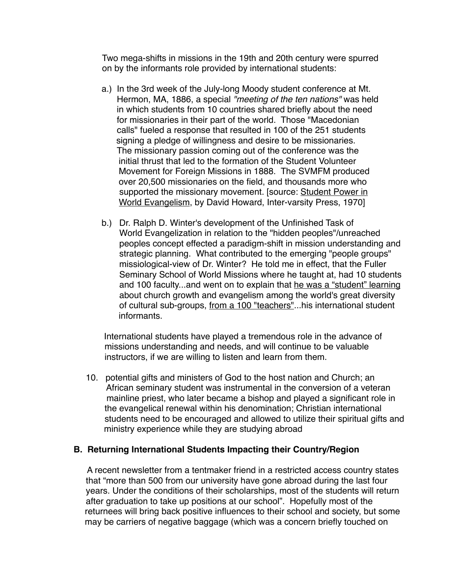Two mega-shifts in missions in the 19th and 20th century were spurred on by the informants role provided by international students:

- a.) In the 3rd week of the July-long Moody student conference at Mt. Hermon, MA, 1886, a special *"meeting of the ten nations"* was held in which students from 10 countries shared briefly about the need for missionaries in their part of the world. Those "Macedonian calls" fueled a response that resulted in 100 of the 251 students signing a pledge of willingness and desire to be missionaries. The missionary passion coming out of the conference was the initial thrust that led to the formation of the Student Volunteer Movement for Foreign Missions in 1888. The SVMFM produced over 20,500 missionaries on the field, and thousands more who supported the missionary movement. [source: Student Power in World Evangelism, by David Howard, Inter-varsity Press, 1970]
- b.) Dr. Ralph D. Winter's development of the Unfinished Task of World Evangelization in relation to the "hidden peoples"/unreached peoples concept effected a paradigm-shift in mission understanding and strategic planning. What contributed to the emerging "people groups" missiological-view of Dr. Winter? He told me in effect, that the Fuller Seminary School of World Missions where he taught at, had 10 students and 100 faculty...and went on to explain that he was a "student" learning about church growth and evangelism among the world's great diversity of cultural sub-groups, from a 100 "teachers"...his international student informants.

 International students have played a tremendous role in the advance of missions understanding and needs, and will continue to be valuable instructors, if we are willing to listen and learn from them.

 10. potential gifts and ministers of God to the host nation and Church; an African seminary student was instrumental in the conversion of a veteran mainline priest, who later became a bishop and played a significant role in the evangelical renewal within his denomination; Christian international students need to be encouraged and allowed to utilize their spiritual gifts and ministry experience while they are studying abroad

#### **B. Returning International Students Impacting their Country/Region**

A recent newsletter from a tentmaker friend in a restricted access country states that "more than 500 from our university have gone abroad during the last four years. Under the conditions of their scholarships, most of the students will return after graduation to take up positions at our school". Hopefully most of the returnees will bring back positive influences to their school and society, but some may be carriers of negative baggage (which was a concern briefly touched on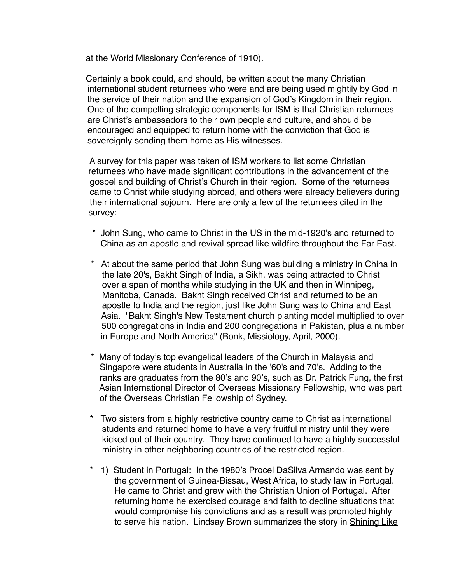at the World Missionary Conference of 1910).

 Certainly a book could, and should, be written about the many Christian international student returnees who were and are being used mightily by God in the service of their nation and the expansion of God's Kingdom in their region. One of the compelling strategic components for ISM is that Christian returnees are Christ's ambassadors to their own people and culture, and should be encouraged and equipped to return home with the conviction that God is sovereignly sending them home as His witnesses.

 A survey for this paper was taken of ISM workers to list some Christian returnees who have made significant contributions in the advancement of the gospel and building of Christ's Church in their region. Some of the returnees came to Christ while studying abroad, and others were already believers during their international sojourn. Here are only a few of the returnees cited in the survey:

- \* John Sung, who came to Christ in the US in the mid-1920's and returned to China as an apostle and revival spread like wildfire throughout the Far East.
- \* At about the same period that John Sung was building a ministry in China in the late 20's, Bakht Singh of India, a Sikh, was being attracted to Christ over a span of months while studying in the UK and then in Winnipeg, Manitoba, Canada. Bakht Singh received Christ and returned to be an apostle to India and the region, just like John Sung was to China and East Asia. "Bakht Singh's New Testament church planting model multiplied to over 500 congregations in India and 200 congregations in Pakistan, plus a number in Europe and North America" (Bonk, Missiology, April, 2000).
- \* Many of today's top evangelical leaders of the Church in Malaysia and Singapore were students in Australia in the '60's and 70's. Adding to the ranks are graduates from the 80's and 90's, such as Dr. Patrick Fung, the first Asian International Director of Overseas Missionary Fellowship, who was part of the Overseas Christian Fellowship of Sydney.
- Two sisters from a highly restrictive country came to Christ as international students and returned home to have a very fruitful ministry until they were kicked out of their country. They have continued to have a highly successful ministry in other neighboring countries of the restricted region.
- 1) Student in Portugal: In the 1980's Procel DaSilva Armando was sent by the government of Guinea-Bissau, West Africa, to study law in Portugal. He came to Christ and grew with the Christian Union of Portugal. After returning home he exercised courage and faith to decline situations that would compromise his convictions and as a result was promoted highly to serve his nation. Lindsay Brown summarizes the story in Shining Like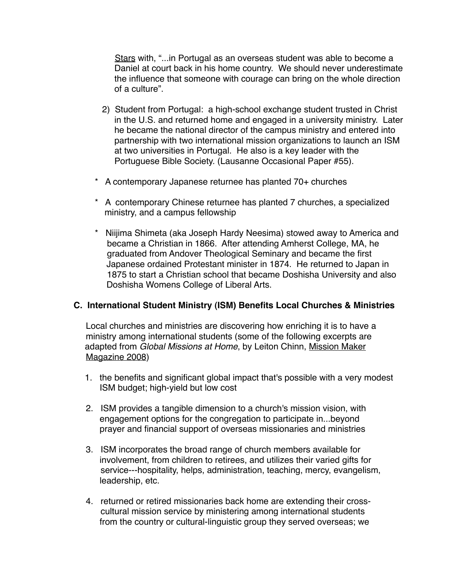Stars with, "...in Portugal as an overseas student was able to become a Daniel at court back in his home country. We should never underestimate the influence that someone with courage can bring on the whole direction of a culture".

- 2) Student from Portugal: a high-school exchange student trusted in Christ in the U.S. and returned home and engaged in a university ministry. Later he became the national director of the campus ministry and entered into partnership with two international mission organizations to launch an ISM at two universities in Portugal. He also is a key leader with the Portuguese Bible Society. (Lausanne Occasional Paper #55).
- \* A contemporary Japanese returnee has planted 70+ churches
- \* A contemporary Chinese returnee has planted 7 churches, a specialized ministry, and a campus fellowship
- \* Niijima Shimeta (aka Joseph Hardy Neesima) stowed away to America and became a Christian in 1866. After attending Amherst College, MA, he graduated from Andover Theological Seminary and became the first Japanese ordained Protestant minister in 1874. He returned to Japan in 1875 to start a Christian school that became Doshisha University and also Doshisha Womens College of Liberal Arts.

#### **C. International Student Ministry (ISM) Benefits Local Churches & Ministries**

 Local churches and ministries are discovering how enriching it is to have a ministry among international students (some of the following excerpts are adapted from *Global Missions at Home*, by Leiton Chinn, Mission Maker Magazine 2008)

- 1. the benefits and significant global impact that's possible with a very modest ISM budget; high-yield but low cost
- 2. ISM provides a tangible dimension to a church's mission vision, with engagement options for the congregation to participate in...beyond prayer and financial support of overseas missionaries and ministries
- 3. ISM incorporates the broad range of church members available for involvement, from children to retirees, and utilizes their varied gifts for service---hospitality, helps, administration, teaching, mercy, evangelism, leadership, etc.
- 4. returned or retired missionaries back home are extending their cross cultural mission service by ministering among international students from the country or cultural-linguistic group they served overseas; we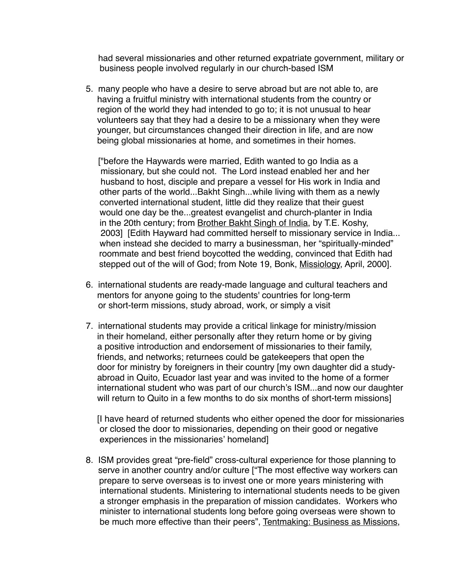had several missionaries and other returned expatriate government, military or business people involved regularly in our church-based ISM

 5. many people who have a desire to serve abroad but are not able to, are having a fruitful ministry with international students from the country or region of the world they had intended to go to; it is not unusual to hear volunteers say that they had a desire to be a missionary when they were younger, but circumstances changed their direction in life, and are now being global missionaries at home, and sometimes in their homes.

 ["before the Haywards were married, Edith wanted to go India as a missionary, but she could not. The Lord instead enabled her and her husband to host, disciple and prepare a vessel for His work in India and other parts of the world...Bakht Singh...while living with them as a newly converted international student, little did they realize that their guest would one day be the...greatest evangelist and church-planter in India in the 20th century; from Brother Bakht Singh of India, by T.E. Koshy, 2003] [Edith Hayward had committed herself to missionary service in India... when instead she decided to marry a businessman, her "spiritually-minded" roommate and best friend boycotted the wedding, convinced that Edith had stepped out of the will of God; from Note 19, Bonk, Missiology, April, 2000].

- 6. international students are ready-made language and cultural teachers and mentors for anyone going to the students' countries for long-term or short-term missions, study abroad, work, or simply a visit
- 7. international students may provide a critical linkage for ministry/mission in their homeland, either personally after they return home or by giving a positive introduction and endorsement of missionaries to their family, friends, and networks; returnees could be gatekeepers that open the door for ministry by foreigners in their country [my own daughter did a study abroad in Quito, Ecuador last year and was invited to the home of a former international student who was part of our church's ISM...and now our daughter will return to Quito in a few months to do six months of short-term missions]

 [I have heard of returned students who either opened the door for missionaries or closed the door to missionaries, depending on their good or negative experiences in the missionaries' homeland]

 8. ISM provides great "pre-field" cross-cultural experience for those planning to serve in another country and/or culture ["The most effective way workers can prepare to serve overseas is to invest one or more years ministering with international students. Ministering to international students needs to be given a stronger emphasis in the preparation of mission candidates. Workers who minister to international students long before going overseas were shown to be much more effective than their peers", Tentmaking: Business as Missions,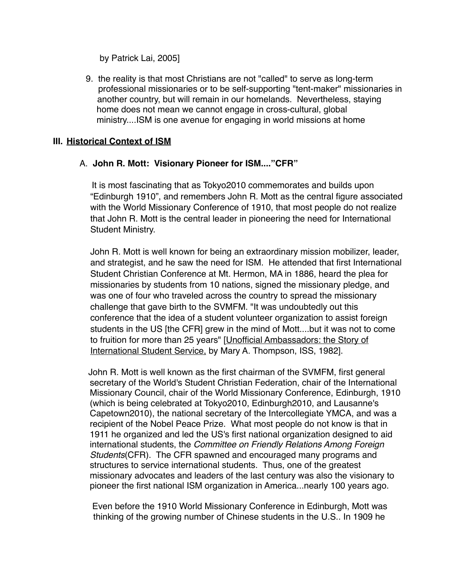by Patrick Lai, 2005]

 9. the reality is that most Christians are not "called" to serve as long-term professional missionaries or to be self-supporting "tent-maker" missionaries in another country, but will remain in our homelands. Nevertheless, staying home does not mean we cannot engage in cross-cultural, global ministry....ISM is one avenue for engaging in world missions at home

#### **III. Historical Context of ISM**

#### A. **John R. Mott: Visionary Pioneer for ISM...."CFR"**

It is most fascinating that as Tokyo2010 commemorates and builds upon "Edinburgh 1910", and remembers John R. Mott as the central figure associated with the World Missionary Conference of 1910, that most people do not realize that John R. Mott is the central leader in pioneering the need for International Student Ministry.

John R. Mott is well known for being an extraordinary mission mobilizer, leader, and strategist, and he saw the need for ISM. He attended that first International Student Christian Conference at Mt. Hermon, MA in 1886, heard the plea for missionaries by students from 10 nations, signed the missionary pledge, and was one of four who traveled across the country to spread the missionary challenge that gave birth to the SVMFM. "It was undoubtedly out this conference that the idea of a student volunteer organization to assist foreign students in the US [the CFR] grew in the mind of Mott....but it was not to come to fruition for more than 25 years" [Unofficial Ambassadors: the Story of International Student Service, by Mary A. Thompson, ISS, 1982].

 John R. Mott is well known as the first chairman of the SVMFM, first general secretary of the World's Student Christian Federation, chair of the International Missionary Council, chair of the World Missionary Conference, Edinburgh, 1910 (which is being celebrated at Tokyo2010, Edinburgh2010, and Lausanne's Capetown2010), the national secretary of the Intercollegiate YMCA, and was a recipient of the Nobel Peace Prize. What most people do not know is that in 1911 he organized and led the US's first national organization designed to aid international students, the *Committee on Friendly Relations Among Foreign Students*(CFR). The CFR spawned and encouraged many programs and structures to service international students. Thus, one of the greatest missionary advocates and leaders of the last century was also the visionary to pioneer the first national ISM organization in America...nearly 100 years ago.

 Even before the 1910 World Missionary Conference in Edinburgh, Mott was thinking of the growing number of Chinese students in the U.S.. In 1909 he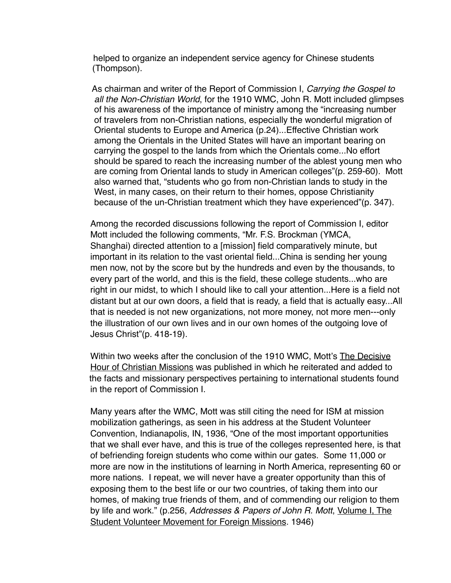helped to organize an independent service agency for Chinese students (Thompson).

 As chairman and writer of the Report of Commission I, *Carrying the Gospel to all the Non-Christian World*, for the 1910 WMC, John R. Mott included glimpses of his awareness of the importance of ministry among the "increasing number of travelers from non-Christian nations, especially the wonderful migration of Oriental students to Europe and America (p.24)...Effective Christian work among the Orientals in the United States will have an important bearing on carrying the gospel to the lands from which the Orientals come...No effort should be spared to reach the increasing number of the ablest young men who are coming from Oriental lands to study in American colleges"(p. 259-60). Mott also warned that, "students who go from non-Christian lands to study in the West, in many cases, on their return to their homes, oppose Christianity because of the un-Christian treatment which they have experienced"(p. 347).

Among the recorded discussions following the report of Commission I, editor Mott included the following comments, "Mr. F.S. Brockman (YMCA, Shanghai) directed attention to a [mission] field comparatively minute, but important in its relation to the vast oriental field...China is sending her young men now, not by the score but by the hundreds and even by the thousands, to every part of the world, and this is the field, these college students...who are right in our midst, to which I should like to call your attention...Here is a field not distant but at our own doors, a field that is ready, a field that is actually easy...All that is needed is not new organizations, not more money, not more men---only the illustration of our own lives and in our own homes of the outgoing love of Jesus Christ"(p. 418-19).

Within two weeks after the conclusion of the 1910 WMC, Mott's The Decisive Hour of Christian Missions was published in which he reiterated and added to the facts and missionary perspectives pertaining to international students found in the report of Commission I.

Many years after the WMC, Mott was still citing the need for ISM at mission mobilization gatherings, as seen in his address at the Student Volunteer Convention, Indianapolis, IN, 1936, "One of the most important opportunities that we shall ever have, and this is true of the colleges represented here, is that of befriending foreign students who come within our gates. Some 11,000 or more are now in the institutions of learning in North America, representing 60 or more nations. I repeat, we will never have a greater opportunity than this of exposing them to the best life or our two countries, of taking them into our homes, of making true friends of them, and of commending our religion to them by life and work." (p.256, *Addresses & Papers of John R. Mott*, Volume I, The Student Volunteer Movement for Foreign Missions. 1946)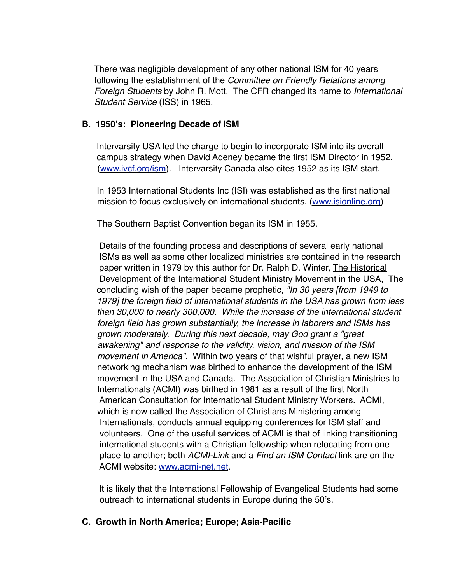There was negligible development of any other national ISM for 40 years following the establishment of the *Committee on Friendly Relations among Foreign Students* by John R. Mott. The CFR changed its name to *International Student Service* (ISS) in 1965.

#### **B. 1950's: Pioneering Decade of ISM**

Intervarsity USA led the charge to begin to incorporate ISM into its overall campus strategy when David Adeney became the first ISM Director in 1952. [\(www.ivcf.org/ism](http://www.ivcf.org/ism)). Intervarsity Canada also cites 1952 as its ISM start.

 In 1953 International Students Inc (ISI) was established as the first national mission to focus exclusively on international students. [\(www.isionline.org\)](http://www.isionline.org)

The Southern Baptist Convention began its ISM in 1955.

 Details of the founding process and descriptions of several early national ISMs as well as some other localized ministries are contained in the research paper written in 1979 by this author for Dr. Ralph D. Winter, The Historical Development of the International Student Ministry Movement in the USA, The concluding wish of the paper became prophetic, *"In 30 years [from 1949 to 1979] the foreign field of international students in the USA has grown from less than 30,000 to nearly 300,000. While the increase of the international student foreign field has grown substantially, the increase in laborers and ISMs has grown moderately. During this next decade, may God grant a "great awakening" and response to the validity, vision, and mission of the ISM movement in America".* Within two years of that wishful prayer, a new ISM networking mechanism was birthed to enhance the development of the ISM movement in the USA and Canada. The Association of Christian Ministries to Internationals (ACMI) was birthed in 1981 as a result of the first North American Consultation for International Student Ministry Workers. ACMI, which is now called the Association of Christians Ministering among Internationals, conducts annual equipping conferences for ISM staff and volunteers. One of the useful services of ACMI is that of linking transitioning international students with a Christian fellowship when relocating from one place to another; both *ACMI-Link* and a *Find an ISM Contact* link are on the ACMI website: [www.acmi-net.net](http://www.acmi-net.net).

 It is likely that the International Fellowship of Evangelical Students had some outreach to international students in Europe during the 50's.

### **C. Growth in North America; Europe; Asia-Pacific**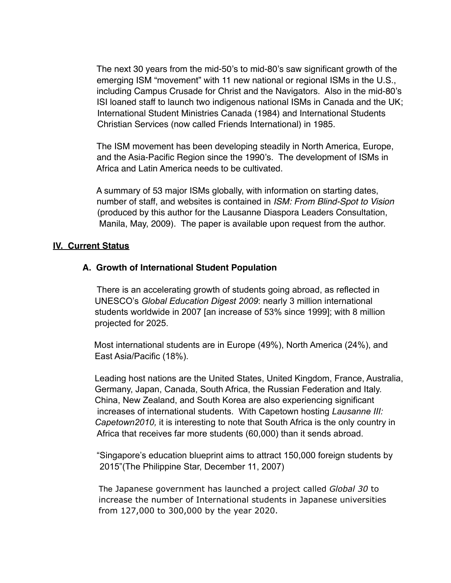The next 30 years from the mid-50's to mid-80's saw significant growth of the emerging ISM "movement" with 11 new national or regional ISMs in the U.S., including Campus Crusade for Christ and the Navigators. Also in the mid-80's ISI loaned staff to launch two indigenous national ISMs in Canada and the UK; International Student Ministries Canada (1984) and International Students Christian Services (now called Friends International) in 1985.

 The ISM movement has been developing steadily in North America, Europe, and the Asia-Pacific Region since the 1990's. The development of ISMs in Africa and Latin America needs to be cultivated.

 A summary of 53 major ISMs globally, with information on starting dates, number of staff, and websites is contained in *ISM: From Blind-Spot to Vision*  (produced by this author for the Lausanne Diaspora Leaders Consultation, Manila, May, 2009). The paper is available upon request from the author.

#### **IV. Current Status**

#### **A. Growth of International Student Population**

There is an accelerating growth of students going abroad, as reflected in UNESCO's *Global Education Digest 2009*: nearly 3 million international students worldwide in 2007 [an increase of 53% since 1999]; with 8 million projected for 2025.

 Most international students are in Europe (49%), North America (24%), and East Asia/Pacific (18%).

 Leading host nations are the United States, United Kingdom, France, Australia, Germany, Japan, Canada, South Africa, the Russian Federation and Italy. China, New Zealand, and South Korea are also experiencing significant increases of international students. With Capetown hosting *Lausanne III: Capetown2010,* it is interesting to note that South Africa is the only country in Africa that receives far more students (60,000) than it sends abroad.

 "Singapore's education blueprint aims to attract 150,000 foreign students by 2015"(The Philippine Star, December 11, 2007)

 The Japanese government has launched a project called *Global 30* to increase the number of International students in Japanese universities from 127,000 to 300,000 by the year 2020.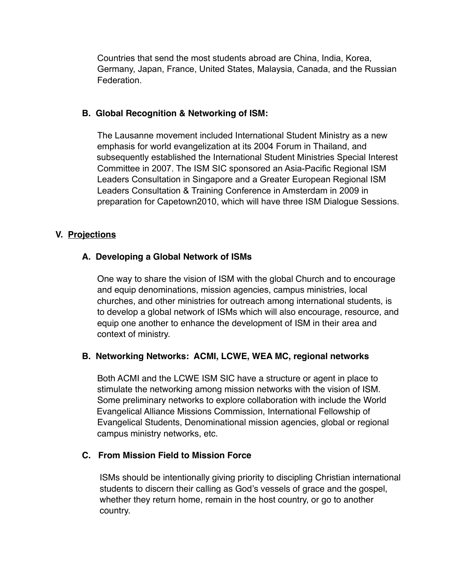Countries that send the most students abroad are China, India, Korea, Germany, Japan, France, United States, Malaysia, Canada, and the Russian Federation.

#### **B. Global Recognition & Networking of ISM:**

 The Lausanne movement included International Student Ministry as a new emphasis for world evangelization at its 2004 Forum in Thailand, and subsequently established the International Student Ministries Special Interest Committee in 2007. The ISM SIC sponsored an Asia-Pacific Regional ISM Leaders Consultation in Singapore and a Greater European Regional ISM Leaders Consultation & Training Conference in Amsterdam in 2009 in preparation for Capetown2010, which will have three ISM Dialogue Sessions.

### **V. Projections**

### **A. Developing a Global Network of ISMs**

 One way to share the vision of ISM with the global Church and to encourage and equip denominations, mission agencies, campus ministries, local churches, and other ministries for outreach among international students, is to develop a global network of ISMs which will also encourage, resource, and equip one another to enhance the development of ISM in their area and context of ministry.

### **B. Networking Networks: ACMI, LCWE, WEA MC, regional networks**

Both ACMI and the LCWE ISM SIC have a structure or agent in place to stimulate the networking among mission networks with the vision of ISM. Some preliminary networks to explore collaboration with include the World Evangelical Alliance Missions Commission, International Fellowship of Evangelical Students, Denominational mission agencies, global or regional campus ministry networks, etc.

### **C. From Mission Field to Mission Force**

 ISMs should be intentionally giving priority to discipling Christian international students to discern their calling as God's vessels of grace and the gospel, whether they return home, remain in the host country, or go to another country.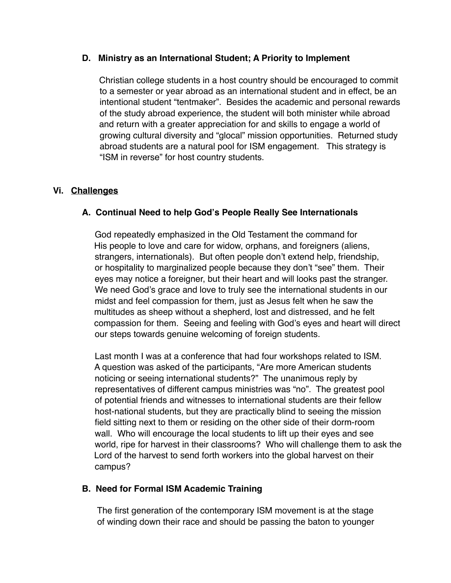#### **D. Ministry as an International Student; A Priority to Implement**

 Christian college students in a host country should be encouraged to commit to a semester or year abroad as an international student and in effect, be an intentional student "tentmaker". Besides the academic and personal rewards of the study abroad experience, the student will both minister while abroad and return with a greater appreciation for and skills to engage a world of growing cultural diversity and "glocal" mission opportunities. Returned study abroad students are a natural pool for ISM engagement. This strategy is "ISM in reverse" for host country students.

# **Vi. Challenges**

# **A. Continual Need to help God's People Really See Internationals**

 God repeatedly emphasized in the Old Testament the command for His people to love and care for widow, orphans, and foreigners (aliens, strangers, internationals). But often people don't extend help, friendship, or hospitality to marginalized people because they don't "see" them. Their eyes may notice a foreigner, but their heart and will looks past the stranger. We need God's grace and love to truly see the international students in our midst and feel compassion for them, just as Jesus felt when he saw the multitudes as sheep without a shepherd, lost and distressed, and he felt compassion for them. Seeing and feeling with God's eyes and heart will direct our steps towards genuine welcoming of foreign students.

 Last month I was at a conference that had four workshops related to ISM. A question was asked of the participants, "Are more American students noticing or seeing international students?" The unanimous reply by representatives of different campus ministries was "no". The greatest pool of potential friends and witnesses to international students are their fellow host-national students, but they are practically blind to seeing the mission field sitting next to them or residing on the other side of their dorm-room wall. Who will encourage the local students to lift up their eyes and see world, ripe for harvest in their classrooms? Who will challenge them to ask the Lord of the harvest to send forth workers into the global harvest on their campus?

### **B. Need for Formal ISM Academic Training**

 The first generation of the contemporary ISM movement is at the stage of winding down their race and should be passing the baton to younger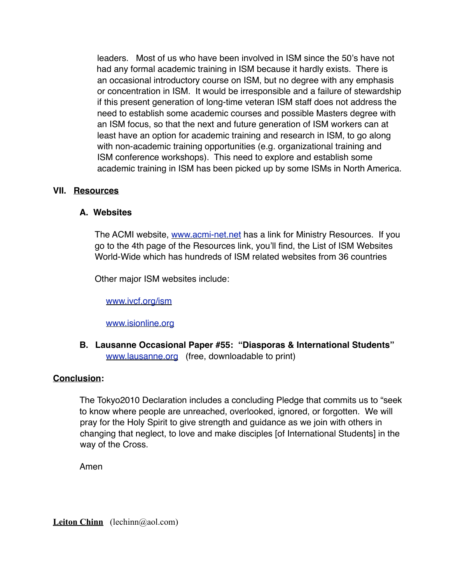leaders. Most of us who have been involved in ISM since the 50's have not had any formal academic training in ISM because it hardly exists. There is an occasional introductory course on ISM, but no degree with any emphasis or concentration in ISM. It would be irresponsible and a failure of stewardship if this present generation of long-time veteran ISM staff does not address the need to establish some academic courses and possible Masters degree with an ISM focus, so that the next and future generation of ISM workers can at least have an option for academic training and research in ISM, to go along with non-academic training opportunities (e.g. organizational training and ISM conference workshops). This need to explore and establish some academic training in ISM has been picked up by some ISMs in North America.

#### **VII. Resources**

#### **A. Websites**

The ACMI website, [www.acmi-net.net](http://www.acmi-net.net) has a link for Ministry Resources. If you go to the 4th page of the Resources link, you'll find, the List of ISM Websites World-Wide which has hundreds of ISM related websites from 36 countries

Other major ISM websites include:

[www.ivcf.org/ism](http://www.ivcf.org/ism)

[www.isionline.org](http://www.isionline.org)

**B. Lausanne Occasional Paper #55: "Diasporas & International Students"** [www.lausanne.org](http://www.lausanne.org) (free, downloadable to print)

### **Conclusion:**

The Tokyo2010 Declaration includes a concluding Pledge that commits us to "seek to know where people are unreached, overlooked, ignored, or forgotten. We will pray for the Holy Spirit to give strength and guidance as we join with others in changing that neglect, to love and make disciples [of International Students] in the way of the Cross.

Amen

**Leiton Chinn** (lechinn@aol.com)